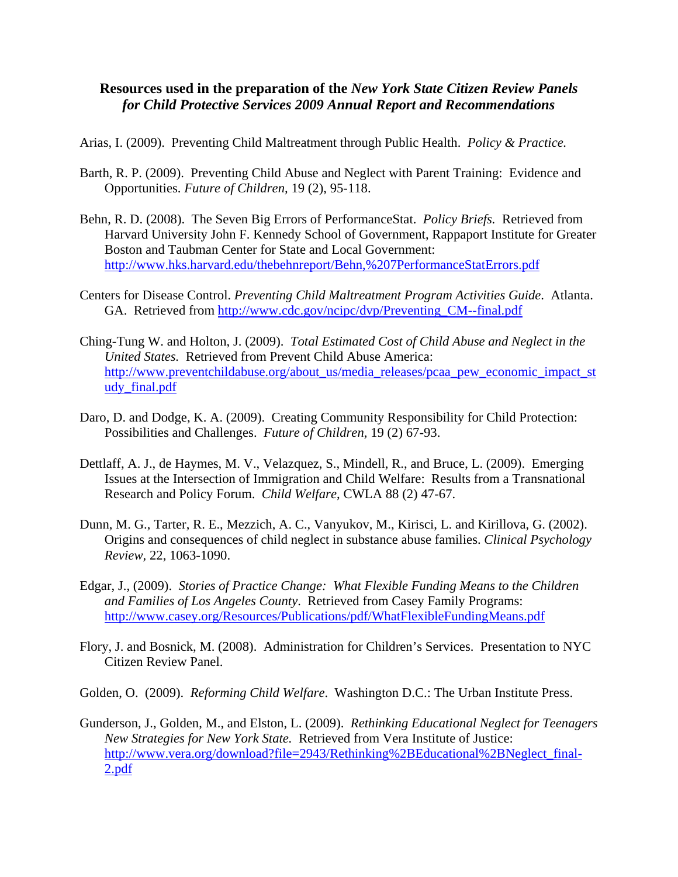## **Resources used in the preparation of the** *New York State Citizen Review Panels for Child Protective Services 2009 Annual Report and Recommendations*

Arias, I. (2009). Preventing Child Maltreatment through Public Health. *Policy & Practice.*

- Barth, R. P. (2009). Preventing Child Abuse and Neglect with Parent Training: Evidence and Opportunities. *Future of Children,* 19 (2), 95-118.
- Behn, R. D. (2008). The Seven Big Errors of PerformanceStat. *Policy Briefs.* Retrieved from Harvard University John F. Kennedy School of Government, Rappaport Institute for Greater Boston and Taubman Center for State and Local Government: <http://www.hks.harvard.edu/thebehnreport/Behn,%207PerformanceStatErrors.pdf>
- Centers for Disease Control. *Preventing Child Maltreatment Program Activities Guide*. Atlanta. GA. Retrieved from [http://www.cdc.gov/ncipc/dvp/Preventing\\_CM--final.pdf](http://www.cdc.gov/ncipc/dvp/Preventing_CM--final.pdf)
- Ching-Tung W. and Holton, J. (2009). *Total Estimated Cost of Child Abuse and Neglect in the United States.* Retrieved from Prevent Child Abuse America: [http://www.preventchildabuse.org/about\\_us/media\\_releases/pcaa\\_pew\\_economic\\_impact\\_st](http://www.preventchildabuse.org/about_us/media_releases/pcaa_pew_economic_impact_study_final.pdf) [udy\\_final.pdf](http://www.preventchildabuse.org/about_us/media_releases/pcaa_pew_economic_impact_study_final.pdf)
- Daro, D. and Dodge, K. A. (2009). Creating Community Responsibility for Child Protection: Possibilities and Challenges. *Future of Children,* 19 (2) 67-93.
- Dettlaff, A. J., de Haymes, M. V., Velazquez, S., Mindell, R., and Bruce, L. (2009). Emerging Issues at the Intersection of Immigration and Child Welfare: Results from a Transnational Research and Policy Forum. *Child Welfare*, CWLA 88 (2) 47-67.
- Dunn, M. G., Tarter, R. E., Mezzich, A. C., Vanyukov, M., Kirisci, L. and Kirillova, G. (2002). Origins and consequences of child neglect in substance abuse families. *Clinical Psychology Review,* 22, 1063-1090.
- Edgar, J., (2009). *Stories of Practice Change: What Flexible Funding Means to the Children and Families of Los Angeles County*. Retrieved from Casey Family Programs: <http://www.casey.org/Resources/Publications/pdf/WhatFlexibleFundingMeans.pdf>
- Flory, J. and Bosnick, M. (2008). Administration for Children's Services. Presentation to NYC Citizen Review Panel.
- Golden, O. (2009). *Reforming Child Welfare*. Washington D.C.: The Urban Institute Press.
- Gunderson, J., Golden, M., and Elston, L. (2009). *Rethinking Educational Neglect for Teenagers New Strategies for New York State.* Retrieved from Vera Institute of Justice: [http://www.vera.org/download?file=2943/Rethinking%2BEducational%2BNeglect\\_final-](http://www.vera.org/download?file=2943/Rethinking%2BEducational%2BNeglect_final-2.pdf)[2.pdf](http://www.vera.org/download?file=2943/Rethinking%2BEducational%2BNeglect_final-2.pdf)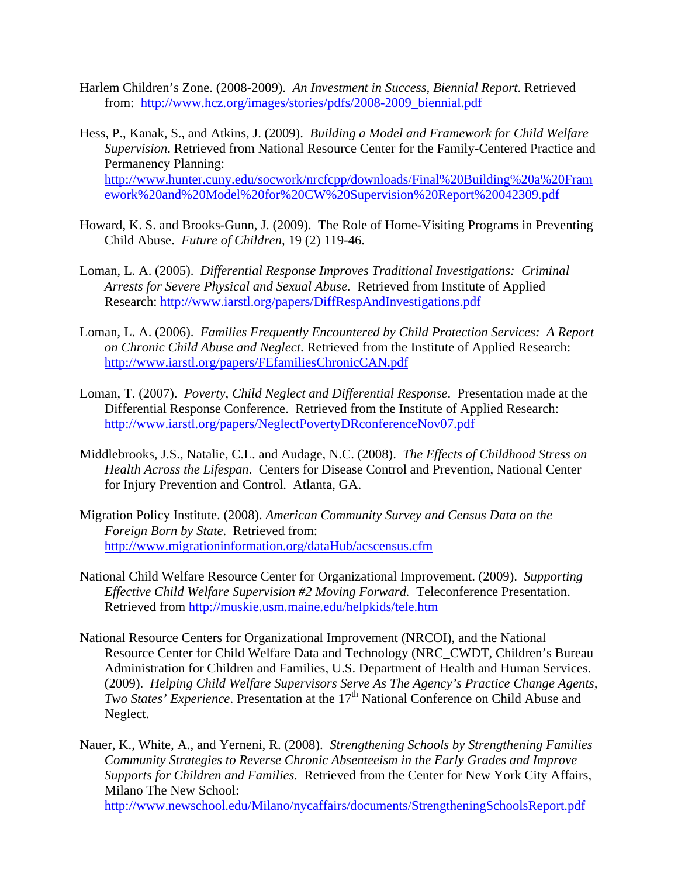- Harlem Children's Zone. (2008-2009). *An Investment in Success, Biennial Report*. Retrieved from: [http://www.hcz.org/images/stories/pdfs/2008-2009\\_biennial.pdf](http://www.hcz.org/images/stories/pdfs/2008-2009_biennial.pdf)
- Hess, P., Kanak, S., and Atkins, J. (2009). *Building a Model and Framework for Child Welfare Supervision*. Retrieved from National Resource Center for the Family-Centered Practice and Permanency Planning: [http://www.hunter.cuny.edu/socwork/nrcfcpp/downloads/Final%20Building%20a%20Fram](http://www.hunter.cuny.edu/socwork/nrcfcpp/downloads/Final%20Building%20a%20Framework%20and%20Model%20for%20CW%20Supervision%20Report%20042309.pdf) [ework%20and%20Model%20for%20CW%20Supervision%20Report%20042309.pdf](http://www.hunter.cuny.edu/socwork/nrcfcpp/downloads/Final%20Building%20a%20Framework%20and%20Model%20for%20CW%20Supervision%20Report%20042309.pdf)
- Howard, K. S. and Brooks-Gunn, J. (2009). The Role of Home-Visiting Programs in Preventing Child Abuse. *Future of Children,* 19 (2) 119-46.
- Loman, L. A. (2005). *Differential Response Improves Traditional Investigations: Criminal Arrests for Severe Physical and Sexual Abuse.* Retrieved from Institute of Applied Research: <http://www.iarstl.org/papers/DiffRespAndInvestigations.pdf>
- Loman, L. A. (2006). *Families Frequently Encountered by Child Protection Services: A Report on Chronic Child Abuse and Neglect*. Retrieved from the Institute of Applied Research: <http://www.iarstl.org/papers/FEfamiliesChronicCAN.pdf>
- Loman, T. (2007). *Poverty, Child Neglect and Differential Response*. Presentation made at the Differential Response Conference. Retrieved from the Institute of Applied Research: <http://www.iarstl.org/papers/NeglectPovertyDRconferenceNov07.pdf>
- Middlebrooks, J.S., Natalie, C.L. and Audage, N.C. (2008). *The Effects of Childhood Stress on Health Across the Lifespan*. Centers for Disease Control and Prevention, National Center for Injury Prevention and Control. Atlanta, GA.
- Migration Policy Institute. (2008). *American Community Survey and Census Data on the Foreign Born by State*. Retrieved from: <http://www.migrationinformation.org/dataHub/acscensus.cfm>
- National Child Welfare Resource Center for Organizational Improvement. (2009). *Supporting Effective Child Welfare Supervision #2 Moving Forward.* Teleconference Presentation. Retrieved from<http://muskie.usm.maine.edu/helpkids/tele.htm>
- National Resource Centers for Organizational Improvement (NRCOI), and the National Resource Center for Child Welfare Data and Technology (NRC\_CWDT, Children's Bureau Administration for Children and Families, U.S. Department of Health and Human Services. (2009). *Helping Child Welfare Supervisors Serve As The Agency's Practice Change Agents, Two States' Experience*. Presentation at the 17<sup>th</sup> National Conference on Child Abuse and Neglect.

Nauer, K., White, A., and Yerneni, R. (2008). *Strengthening Schools by Strengthening Families Community Strategies to Reverse Chronic Absenteeism in the Early Grades and Improve Supports for Children and Families.* Retrieved from the Center for New York City Affairs, Milano The New School: <http://www.newschool.edu/Milano/nycaffairs/documents/StrengtheningSchoolsReport.pdf>